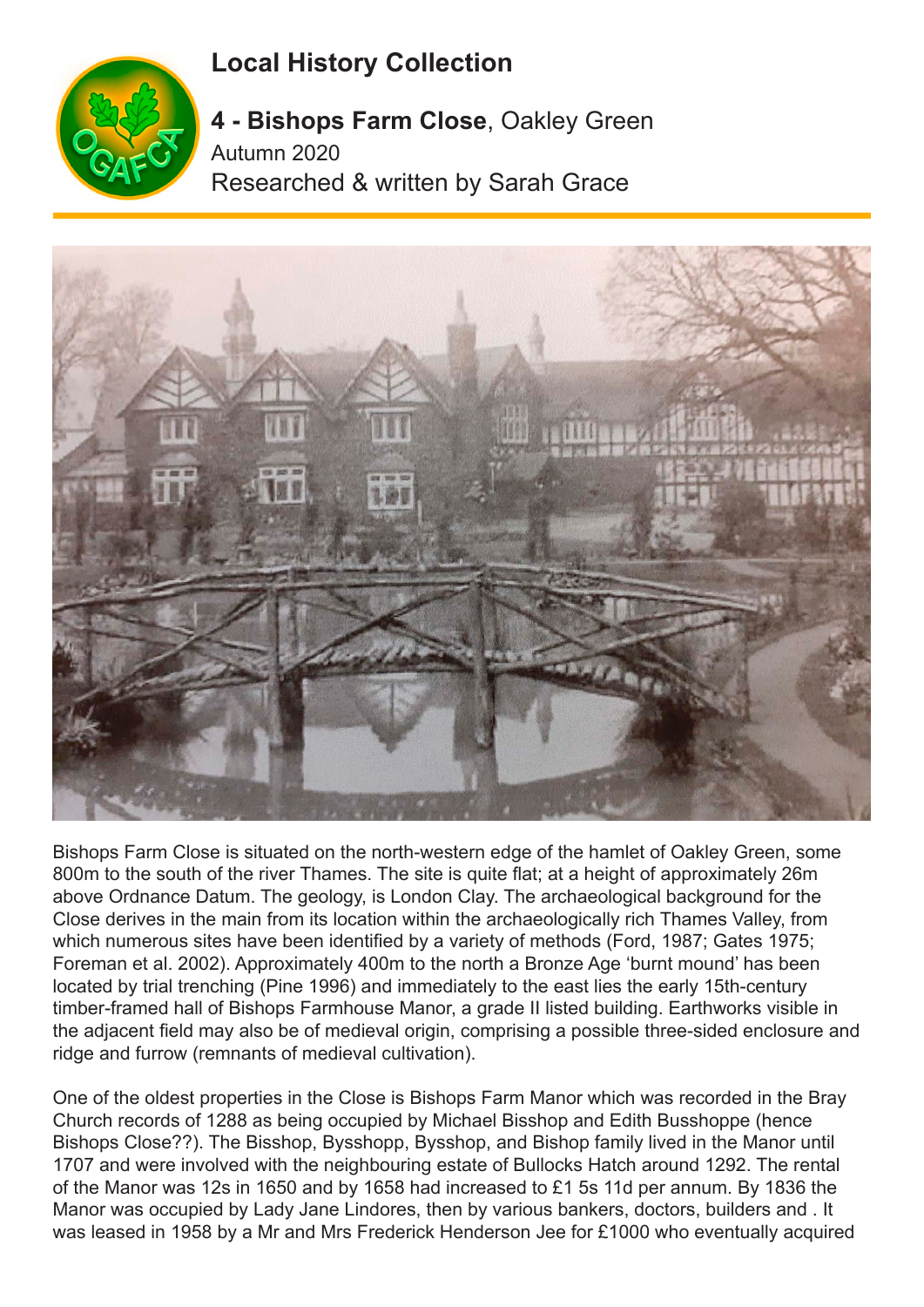## **Local History Collection**



**4 - Bishops Farm Close**, Oakley Green Autumn 2020 Researched & written by Sarah Grace



Bishops Farm Close is situated on the north-western edge of the hamlet of Oakley Green, some 800m to the south of the river Thames. The site is quite flat; at a height of approximately 26m above Ordnance Datum. The geology, is London Clay. The archaeological background for the Close derives in the main from its location within the archaeologically rich Thames Valley, from which numerous sites have been identified by a variety of methods (Ford, 1987; Gates 1975; Foreman et al. 2002). Approximately 400m to the north a Bronze Age 'burnt mound' has been located by trial trenching (Pine 1996) and immediately to the east lies the early 15th-century timber-framed hall of Bishops Farmhouse Manor, a grade II listed building. Earthworks visible in the adjacent field may also be of medieval origin, comprising a possible three-sided enclosure and ridge and furrow (remnants of medieval cultivation).

One of the oldest properties in the Close is Bishops Farm Manor which was recorded in the Bray Church records of 1288 as being occupied by Michael Bisshop and Edith Busshoppe (hence Bishops Close??). The Bisshop, Bysshopp, Bysshop, and Bishop family lived in the Manor until 1707 and were involved with the neighbouring estate of Bullocks Hatch around 1292. The rental of the Manor was 12s in 1650 and by 1658 had increased to £1 5s 11d per annum. By 1836 the Manor was occupied by Lady Jane Lindores, then by various bankers, doctors, builders and . It was leased in 1958 by a Mr and Mrs Frederick Henderson Jee for £1000 who eventually acquired